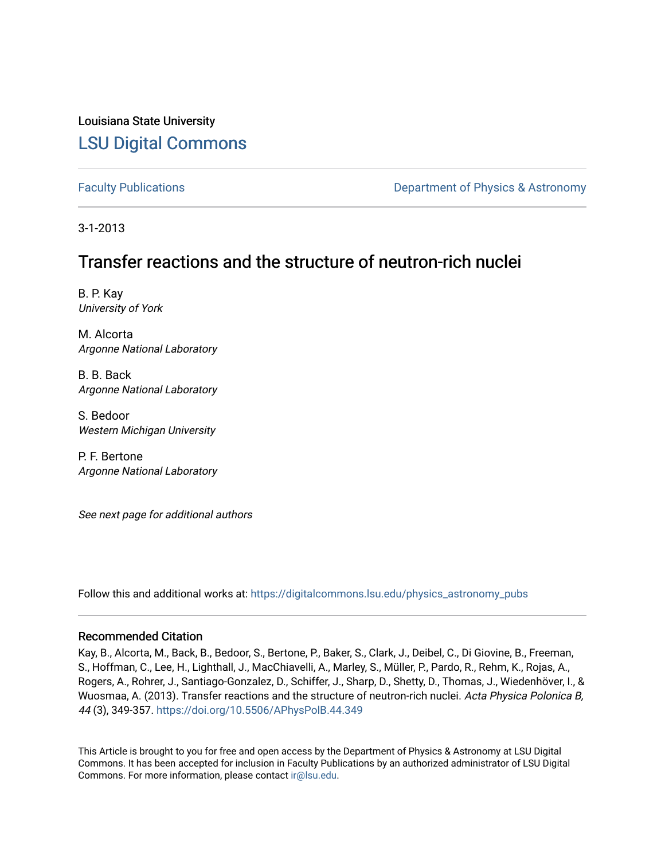Louisiana State University [LSU Digital Commons](https://digitalcommons.lsu.edu/)

[Faculty Publications](https://digitalcommons.lsu.edu/physics_astronomy_pubs) **Exercise 2 and Table 2 and Table 2 and Table 2 and Table 2 and Table 2 and Table 2 and Table 2 and Table 2 and Table 2 and Table 2 and Table 2 and Table 2 and Table 2 and Table 2 and Table 2 and Table** 

3-1-2013

# Transfer reactions and the structure of neutron-rich nuclei

B. P. Kay University of York

M. Alcorta Argonne National Laboratory

B. B. Back Argonne National Laboratory

S. Bedoor Western Michigan University

P. F. Bertone Argonne National Laboratory

See next page for additional authors

Follow this and additional works at: [https://digitalcommons.lsu.edu/physics\\_astronomy\\_pubs](https://digitalcommons.lsu.edu/physics_astronomy_pubs?utm_source=digitalcommons.lsu.edu%2Fphysics_astronomy_pubs%2F1266&utm_medium=PDF&utm_campaign=PDFCoverPages) 

## Recommended Citation

Kay, B., Alcorta, M., Back, B., Bedoor, S., Bertone, P., Baker, S., Clark, J., Deibel, C., Di Giovine, B., Freeman, S., Hoffman, C., Lee, H., Lighthall, J., MacChiavelli, A., Marley, S., Müller, P., Pardo, R., Rehm, K., Rojas, A., Rogers, A., Rohrer, J., Santiago-Gonzalez, D., Schiffer, J., Sharp, D., Shetty, D., Thomas, J., Wiedenhöver, I., & Wuosmaa, A. (2013). Transfer reactions and the structure of neutron-rich nuclei. Acta Physica Polonica B, 44 (3), 349-357.<https://doi.org/10.5506/APhysPolB.44.349>

This Article is brought to you for free and open access by the Department of Physics & Astronomy at LSU Digital Commons. It has been accepted for inclusion in Faculty Publications by an authorized administrator of LSU Digital Commons. For more information, please contact [ir@lsu.edu](mailto:ir@lsu.edu).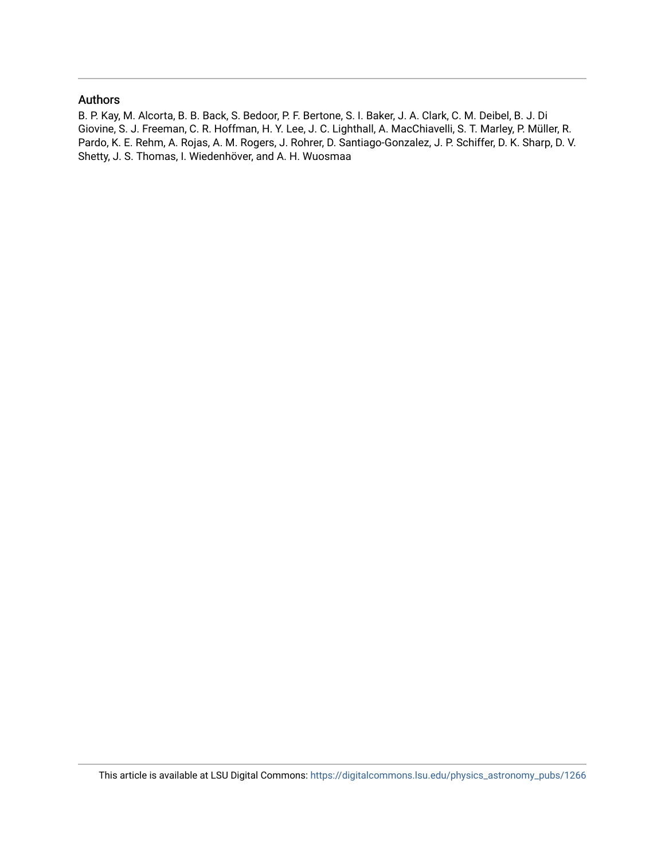# Authors

B. P. Kay, M. Alcorta, B. B. Back, S. Bedoor, P. F. Bertone, S. I. Baker, J. A. Clark, C. M. Deibel, B. J. Di Giovine, S. J. Freeman, C. R. Hoffman, H. Y. Lee, J. C. Lighthall, A. MacChiavelli, S. T. Marley, P. Müller, R. Pardo, K. E. Rehm, A. Rojas, A. M. Rogers, J. Rohrer, D. Santiago-Gonzalez, J. P. Schiffer, D. K. Sharp, D. V. Shetty, J. S. Thomas, I. Wiedenhöver, and A. H. Wuosmaa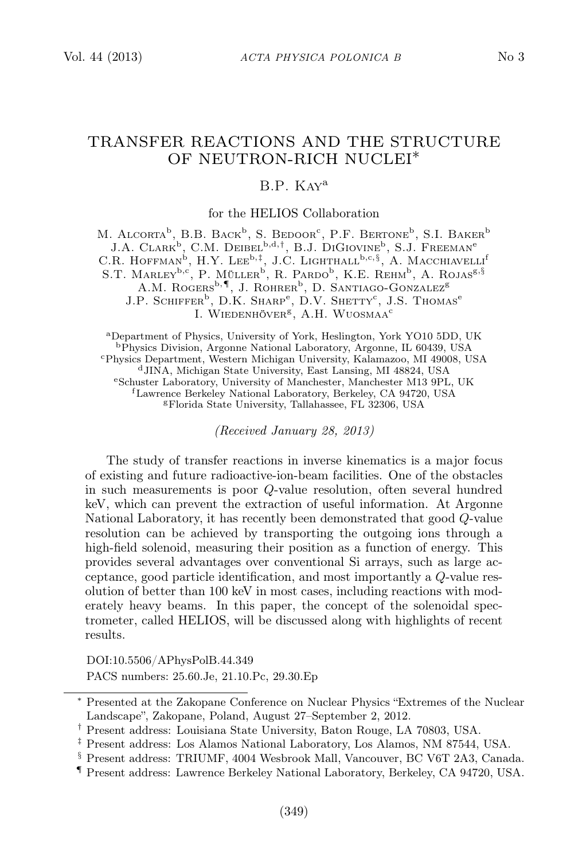# TRANSFER REACTIONS AND THE STRUCTURE OF NEUTRON-RICH NUCLEI∗

# B.P. Kaya

for the HELIOS Collaboration

M. Alcorta<sup>b</sup>, B.B. Back<sup>b</sup>, S. Bedoor<sup>c</sup>, P.F. Bertone<sup>b</sup>, S.I. Baker<sup>b</sup>  $J.A.$  Clark<sup>b</sup>, C.M. Deibel<sup>b,d,†</sup>, B.J. DiGiovine<sup>b</sup>, S.J. Freeman<sup>e</sup> C.R. HOFFMAN<sup>b</sup>, H.Y. Lee<sup>b,‡</sup>, J.C. Lighthall<sup>b,c,§</sup>, A. Macchiavelli<sup>4</sup> S.T. MARLEY<sup>b,c</sup>, P. MÜLLER<sup>b</sup>, R. PARDO<sup>b</sup>, K.E. REHM<sup>b</sup>, A. ROJAS<sup>g,§</sup> A.M. ROGERS<sup>b,¶</sup>, J. ROHRER<sup>b</sup>, D. SANTIAGO-GONZALEZ<sup>g</sup> J.P. SCHIFFER<sup>b</sup>, D.K. Sharp<sup>e</sup>, D.V. Shetty<sup>c</sup>, J.S. Thomas<sup>e</sup> I. WIEDENHÖVER<sup>g</sup>, A.H. WUOSMAA<sup>c</sup>

<sup>a</sup>Department of Physics, University of York, Heslington, York YO10 5DD, UK <sup>b</sup>Physics Division, Argonne National Laboratory, Argonne, IL 60439, USA <sup>c</sup>Physics Department, Western Michigan University, Kalamazoo, MI 49008, USA <sup>d</sup>JINA, Michigan State University, East Lansing, MI 48824, USA <sup>e</sup>Schuster Laboratory, University of Manchester, Manchester M13 9PL, UK <sup>f</sup>Lawrence Berkeley National Laboratory, Berkeley, CA 94720, USA <sup>g</sup>Florida State University, Tallahassee, FL 32306, USA

(Received January 28, 2013)

The study of transfer reactions in inverse kinematics is a major focus of existing and future radioactive-ion-beam facilities. One of the obstacles in such measurements is poor Q-value resolution, often several hundred keV, which can prevent the extraction of useful information. At Argonne National Laboratory, it has recently been demonstrated that good Q-value resolution can be achieved by transporting the outgoing ions through a high-field solenoid, measuring their position as a function of energy. This provides several advantages over conventional Si arrays, such as large acceptance, good particle identification, and most importantly a Q-value resolution of better than 100 keV in most cases, including reactions with moderately heavy beams. In this paper, the concept of the solenoidal spectrometer, called HELIOS, will be discussed along with highlights of recent results.

DOI:10.5506/APhysPolB.44.349 PACS numbers: 25.60.Je, 21.10.Pc, 29.30.Ep

<sup>∗</sup> Presented at the Zakopane Conference on Nuclear Physics "Extremes of the Nuclear Landscape", Zakopane, Poland, August 27–September 2, 2012.

<sup>†</sup> Present address: Louisiana State University, Baton Rouge, LA 70803, USA.

<sup>‡</sup> Present address: Los Alamos National Laboratory, Los Alamos, NM 87544, USA.

<sup>§</sup> Present address: TRIUMF, 4004 Wesbrook Mall, Vancouver, BC V6T 2A3, Canada.

<sup>¶</sup> Present address: Lawrence Berkeley National Laboratory, Berkeley, CA 94720, USA.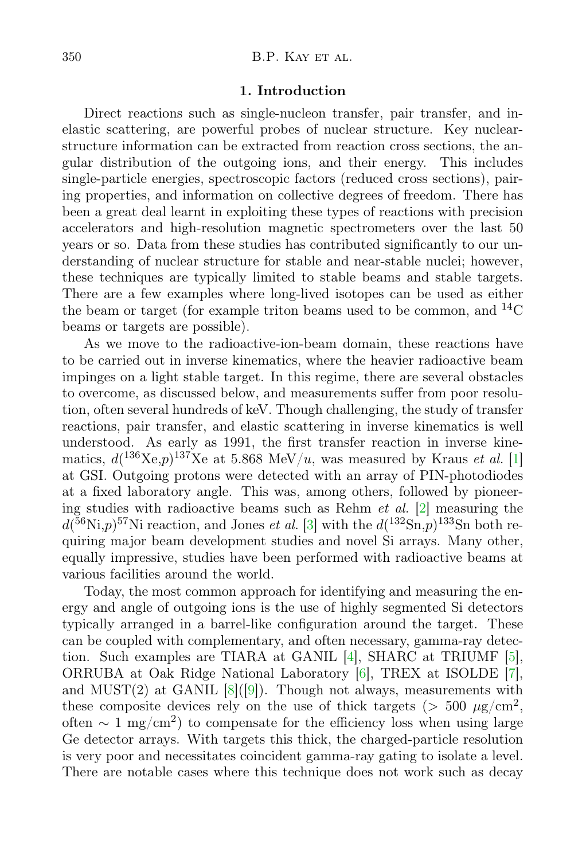## 1. Introduction

Direct reactions such as single-nucleon transfer, pair transfer, and inelastic scattering, are powerful probes of nuclear structure. Key nuclearstructure information can be extracted from reaction cross sections, the angular distribution of the outgoing ions, and their energy. This includes single-particle energies, spectroscopic factors (reduced cross sections), pairing properties, and information on collective degrees of freedom. There has been a great deal learnt in exploiting these types of reactions with precision accelerators and high-resolution magnetic spectrometers over the last 50 years or so. Data from these studies has contributed significantly to our understanding of nuclear structure for stable and near-stable nuclei; however, these techniques are typically limited to stable beams and stable targets. There are a few examples where long-lived isotopes can be used as either the beam or target (for example triton beams used to be common, and  $^{14}$ C beams or targets are possible).

As we move to the radioactive-ion-beam domain, these reactions have to be carried out in inverse kinematics, where the heavier radioactive beam impinges on a light stable target. In this regime, there are several obstacles to overcome, as discussed below, and measurements suffer from poor resolution, often several hundreds of keV. Though challenging, the study of transfer reactions, pair transfer, and elastic scattering in inverse kinematics is well understood. As early as 1991, the first transfer reaction in inverse kinematics,  $d^{(136}\text{Xe}, p)^{137}\text{Xe}$  at 5.868 MeV/u, was measured by Kraus *et al.* [\[1\]](#page-10-0) at GSI. Outgoing protons were detected with an array of PIN-photodiodes at a fixed laboratory angle. This was, among others, followed by pioneering studies with radioactive beams such as Rehm *et al.* [\[2\]](#page-10-1) measuring the  $d(^{56}\mathrm{Ni},p)^{57}\mathrm{Ni}$  reaction, and Jones *et al.* [\[3\]](#page-10-2) with the  $d(^{132}\mathrm{Sn},p)^{133}\mathrm{Sn}$  both requiring major beam development studies and novel Si arrays. Many other, equally impressive, studies have been performed with radioactive beams at various facilities around the world.

Today, the most common approach for identifying and measuring the energy and angle of outgoing ions is the use of highly segmented Si detectors typically arranged in a barrel-like configuration around the target. These can be coupled with complementary, and often necessary, gamma-ray detection. Such examples are TIARA at GANIL [\[4\]](#page-10-3), SHARC at TRIUMF [\[5\]](#page-10-4), ORRUBA at Oak Ridge National Laboratory [\[6\]](#page-10-5), TREX at ISOLDE [\[7\]](#page-10-6), and MUST $(2)$  at GANIL  $[8]([9])$  $[8]([9])$  $[8]([9])$  $[8]([9])$ . Though not always, measurements with these composite devices rely on the use of thick targets ( $> 500 \mu g/cm^2$ , often  $\sim 1 \text{ mg/cm}^2$ ) to compensate for the efficiency loss when using large Ge detector arrays. With targets this thick, the charged-particle resolution is very poor and necessitates coincident gamma-ray gating to isolate a level. There are notable cases where this technique does not work such as decay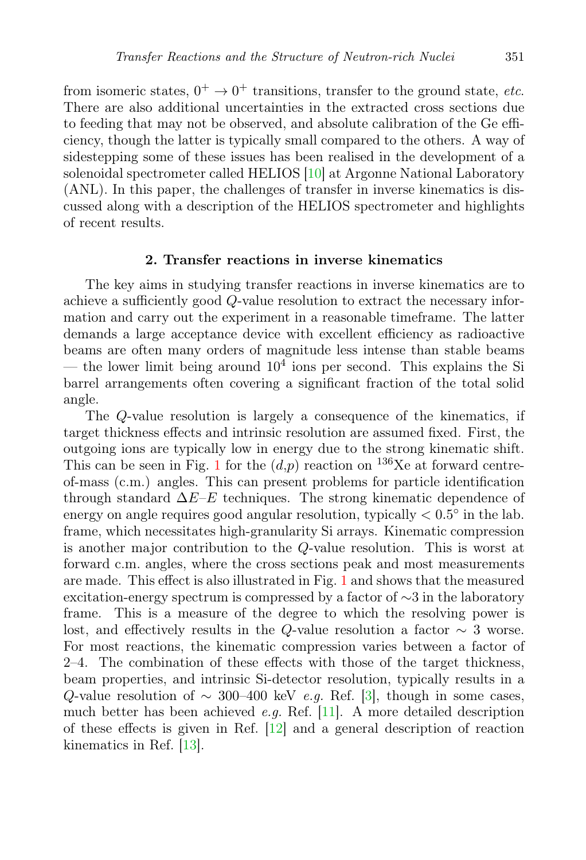from isomeric states,  $0^+ \rightarrow 0^+$  transitions, transfer to the ground state, *etc.* There are also additional uncertainties in the extracted cross sections due to feeding that may not be observed, and absolute calibration of the Ge efficiency, though the latter is typically small compared to the others. A way of sidestepping some of these issues has been realised in the development of a solenoidal spectrometer called HELIOS [\[10\]](#page-10-9) at Argonne National Laboratory (ANL). In this paper, the challenges of transfer in inverse kinematics is discussed along with a description of the HELIOS spectrometer and highlights of recent results.

## 2. Transfer reactions in inverse kinematics

The key aims in studying transfer reactions in inverse kinematics are to achieve a sufficiently good Q-value resolution to extract the necessary information and carry out the experiment in a reasonable timeframe. The latter demands a large acceptance device with excellent efficiency as radioactive beams are often many orders of magnitude less intense than stable beams — the lower limit being around  $10^4$  ions per second. This explains the Si barrel arrangements often covering a significant fraction of the total solid angle.

The Q-value resolution is largely a consequence of the kinematics, if target thickness effects and intrinsic resolution are assumed fixed. First, the outgoing ions are typically low in energy due to the strong kinematic shift. This can be seen in Fig. [1](#page-5-0) for the  $(d,p)$  reaction on <sup>136</sup>Xe at forward centreof-mass (c.m.) angles. This can present problems for particle identification through standard  $\Delta E$ –E techniques. The strong kinematic dependence of energy on angle requires good angular resolution, typically  $< 0.5^{\circ}$  in the lab. frame, which necessitates high-granularity Si arrays. Kinematic compression is another major contribution to the Q-value resolution. This is worst at forward c.m. angles, where the cross sections peak and most measurements are made. This effect is also illustrated in Fig. [1](#page-5-0) and shows that the measured excitation-energy spectrum is compressed by a factor of ∼3 in the laboratory frame. This is a measure of the degree to which the resolving power is lost, and effectively results in the Q-value resolution a factor  $\sim$  3 worse. For most reactions, the kinematic compression varies between a factor of 2–4. The combination of these effects with those of the target thickness, beam properties, and intrinsic Si-detector resolution, typically results in a Q-value resolution of  $\sim$  300–400 keV *e.g.* Ref. [\[3\]](#page-10-2), though in some cases, much better has been achieved *e.g.* Ref.  $[11]$ . A more detailed description of these effects is given in Ref. [\[12\]](#page-10-11) and a general description of reaction kinematics in Ref. [\[13\]](#page-10-12).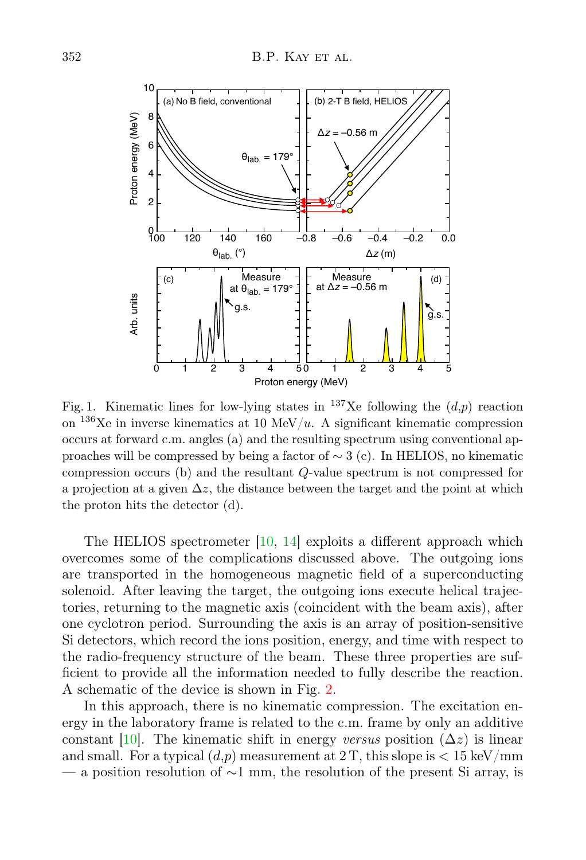

<span id="page-5-0"></span> $\overline{2}$ proaches will be compressed by being a factor of  $\sim$  3 (c). In HELIOS, no kinematic beam *E*p (MeV) the proton hits the detector (d).  $\alpha$  projection at a given  $\Delta z$ , the distance between the target and the point at which Fig. 1. Kinematic lines for low-lying states in <sup>137</sup>Xe following the  $(d,p)$  reaction on  $^{136}\mathrm{Xe}$  in inverse kinematics at 10 MeV/ $u.$  A significant kinematic compression occurs at forward c.m. angles (a) and the resulting spectrum using conventional apcompression occurs (b) and the resultant Q-value spectrum is not compressed for

A schematic of the device is shown in Fig. [2.](#page-6-0) Si detectors, which record the ions position, energy, and time with respect to solenoid. After leaving the target, the outgoing ions execute helical trajec- $\overline{C}$ overcomes some of the complications discussed above. The outgoing ions are transported in the homogeneous magnetic field of a superconducting tories, returning to the magnetic axis (coincident with the beam axis), after Δ*z* (cm) Excitation energy (MeV) the radio-frequency structure of the beam. These three properties are sufficient to provide all the information needed to fully describe the reaction. The HELIOS spectrometer [\[10,](#page-10-9) [14\]](#page-10-13) exploits a different approach which one cyclotron period. Surrounding the axis is an array of position-sensitive

0 constant [\[10\]](#page-10-9). The kinematic shift in energy versus position  $(\Delta z)$  is linear and small. For a typical  $(d,p)$  measurement at 2 T, this slope is  $< 15 \text{ keV/mm}$ — a position resolution of  $\sim$ 1 mm, the resolution of the present Si array, is A schematic of the device is shown in Fig. 2.<br>In this approach, there is no kinematic compression. The excitation en-<br>ergy in the laboratory frame is related to the c.m. frame by only an additive In this approach, there is no kinematic compression. The excitation en-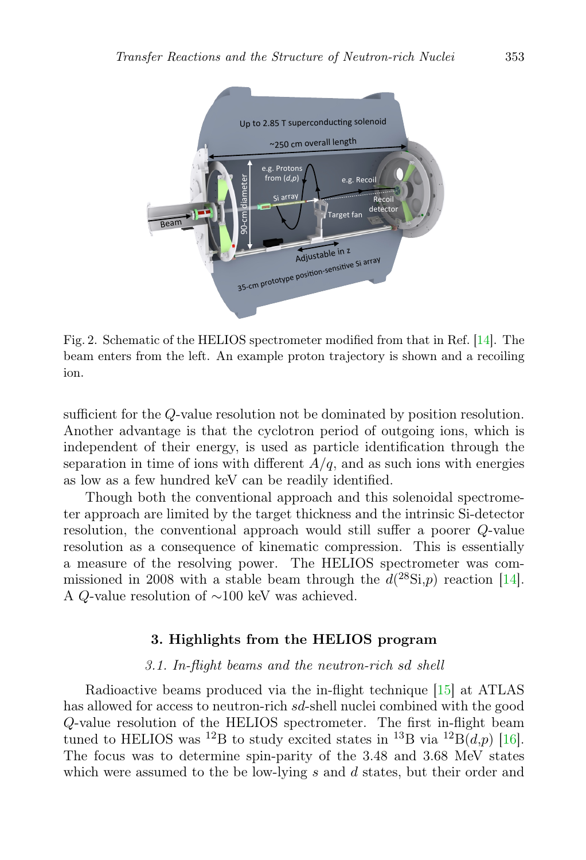

<span id="page-6-0"></span>Fig. 2. Schematic of the HELIOS spectrometer modified from that in Ref. [\[14\]](#page-10-13). The beam enters from the left. An example proton trajectory is shown and a recoiling ion.

sufficient for the Q-value resolution not be dominated by position resolution. Another advantage is that the cyclotron period of outgoing ions, which is independent of their energy, is used as particle identification through the separation in time of ions with different  $A/q$ , and as such ions with energies as low as a few hundred keV can be readily identified.

Though both the conventional approach and this solenoidal spectrometer approach are limited by the target thickness and the intrinsic Si-detector resolution, the conventional approach would still suffer a poorer Q-value resolution as a consequence of kinematic compression. This is essentially a measure of the resolving power. The HELIOS spectrometer was commissioned in 2008 with a stable beam through the  $d(^{28}Si, p)$  reaction [\[14\]](#page-10-13). A Q-value resolution of ∼100 keV was achieved.

### 3. Highlights from the HELIOS program

#### 3.1. In-flight beams and the neutron-rich sd shell

Radioactive beams produced via the in-flight technique [\[15\]](#page-10-14) at ATLAS has allowed for access to neutron-rich sd-shell nuclei combined with the good Q-value resolution of the HELIOS spectrometer. The first in-flight beam tuned to HELIOS was <sup>12</sup>B to study excited states in <sup>13</sup>B via <sup>12</sup>B(d,p) [\[16\]](#page-10-15). The focus was to determine spin-parity of the 3.48 and 3.68 MeV states which were assumed to the be low-lying  $s$  and  $d$  states, but their order and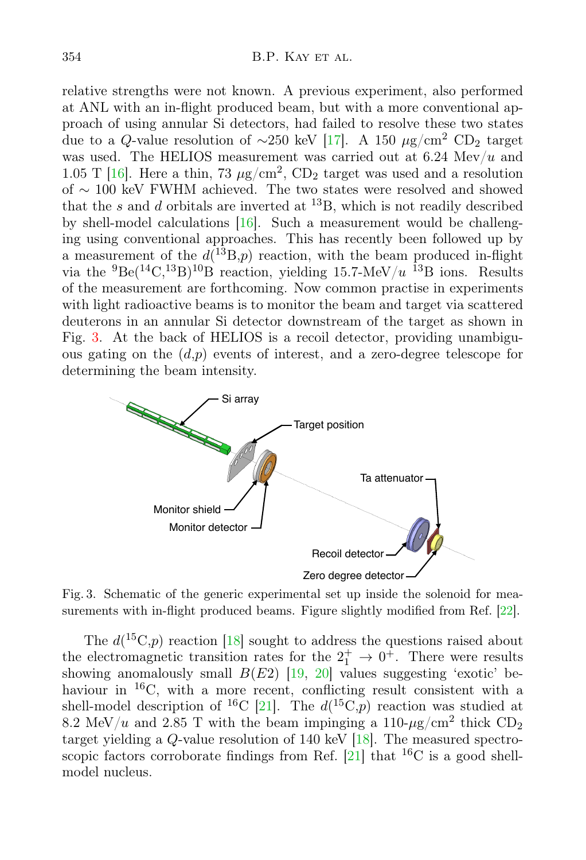relative strengths were not known. A previous experiment, also performed at ANL with an in-flight produced beam, but with a more conventional approach of using annular Si detectors, had failed to resolve these two states due to a Q-value resolution of ~250 keV [\[17\]](#page-10-16). A 150  $\mu$ g/cm<sup>2</sup> CD<sub>2</sub> target was used. The HELIOS measurement was carried out at 6.24 Mev/u and 1.05 T [\[16\]](#page-10-15). Here a thin, 73  $\mu$ g/cm<sup>2</sup>, CD<sub>2</sub> target was used and a resolution of ∼ 100 keV FWHM achieved. The two states were resolved and showed that the s and d orbitals are inverted at  $^{13}B$ , which is not readily described by shell-model calculations [\[16\]](#page-10-15). Such a measurement would be challenging using conventional approaches. This has recently been followed up by a measurement of the  $d(^{13}B,p)$  reaction, with the beam produced in-flight via the  ${}^{9}Be({}^{14}C,{}^{13}B){}^{10}B$  reaction, yielding 15.7-MeV/u  ${}^{13}B$  ions. Results of the measurement are forthcoming. Now common practise in experiments with light radioactive beams is to monitor the beam and target via scattered deuterons in an annular Si detector downstream of the target as shown in Fig. [3.](#page-7-0) At the back of HELIOS is a recoil detector, providing unambiguous gating on the  $(d,p)$  events of interest, and a zero-degree telescope for determining the beam intensity.



<span id="page-7-0"></span>Fig. 3. Schematic of the generic experimental set up inside the solenoid for measurements with in-flight produced beams. Figure slightly modified from Ref. [\[22\]](#page-10-17).

The  $d(^{15}C,p)$  reaction [\[18\]](#page-10-18) sought to address the questions raised about the electromagnetic transition rates for the  $2^+_1 \rightarrow 0^+$ . There were results showing anomalously small  $B(E2)$  [\[19,](#page-10-19) [20\]](#page-10-20) values suggesting 'exotic' behaviour in <sup>16</sup>C, with a more recent, conflicting result consistent with a shell-model description of <sup>16</sup>C [\[21\]](#page-10-21). The  $d(^{15}C,p)$  reaction was studied at 8.2 MeV/u and 2.85 T with the beam impinging a  $110-\mu\text{g/cm}^2$  thick  $CD_2$ target yielding a Q-value resolution of 140 keV [\[18\]](#page-10-18). The measured spectro-scopic factors corroborate findings from Ref. [\[21\]](#page-10-21) that  ${}^{16}C$  is a good shellmodel nucleus.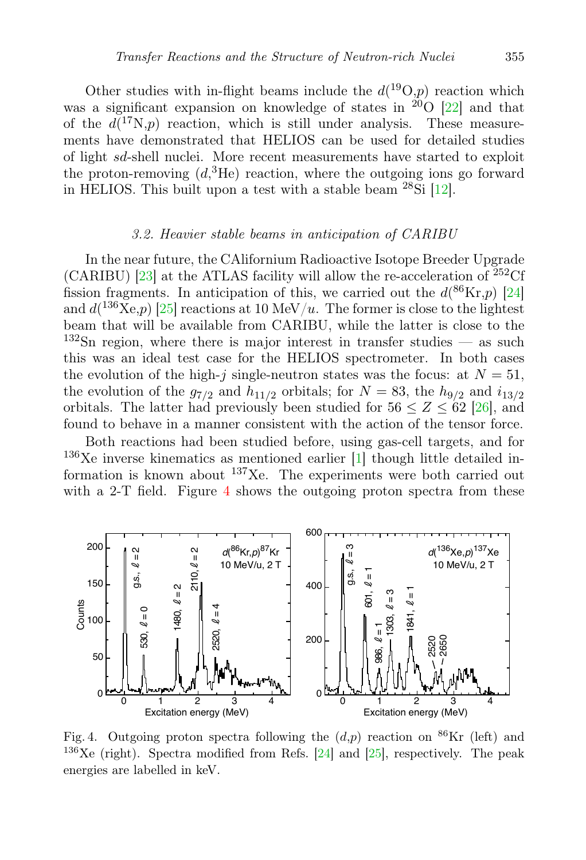Other studies with in-flight beams include the  $d(^{19}O,p)$  reaction which was a significant expansion on knowledge of states in  $\frac{20}{9}$  [\[22\]](#page-10-17) and that of the  $d({}^{17}N,p)$  reaction, which is still under analysis. These measurements have demonstrated that HELIOS can be used for detailed studies of light sd-shell nuclei. More recent measurements have started to exploit the proton-removing  $(d, {}^{3}\text{He})$  reaction, where the outgoing ions go forward in HELIOS. This built upon a test with a stable beam <sup>28</sup>Si [\[12\]](#page-10-11).

#### 3.2. Heavier stable beams in anticipation of CARIBU

In the near future, the CAlifornium Radioactive Isotope Breeder Upgrade (CARIBU) [\[23\]](#page-10-22) at the ATLAS facility will allow the re-acceleration of  $^{252}$ Cf fission fragments. In anticipation of this, we carried out the  $d(^{86}\text{Kr}, p)$  [\[24\]](#page-10-23) and  $d(^{136}\text{Xe}, p)$  [\[25\]](#page-10-24) reactions at 10 MeV/u. The former is close to the lightest beam that will be available from CARIBU, while the latter is close to the  $132$ Sn region, where there is major interest in transfer studies — as such this was an ideal test case for the HELIOS spectrometer. In both cases the evolution of the high-j single-neutron states was the focus: at  $N = 51$ , the evolution of the  $g_{7/2}$  and  $h_{11/2}$  orbitals; for  $N = 83$ , the  $h_{9/2}$  and  $i_{13/2}$ orbitals. The latter had previously been studied for  $56 \le Z \le 62$  [\[26\]](#page-10-25), and found to behave in a manner consistent with the action of the tensor force.

Both reactions had been studied before, using gas-cell targets, and for  $136Xe$  inverse kinematics as mentioned earlier [\[1\]](#page-10-0) though little detailed information is known about <sup>137</sup>Xe. The experiments were both carried out with a 2-T field. Figure  $4$  shows the outgoing proton spectra from these



<span id="page-8-0"></span>Fig. 4. Outgoing proton spectra following the  $(d,p)$  reaction on <sup>86</sup>Kr (left) and  $136\,\text{Xe}$  (right). Spectra modified from Refs. [\[24\]](#page-10-23) and [\[25\]](#page-10-24), respectively. The peak energies are labelled in keV.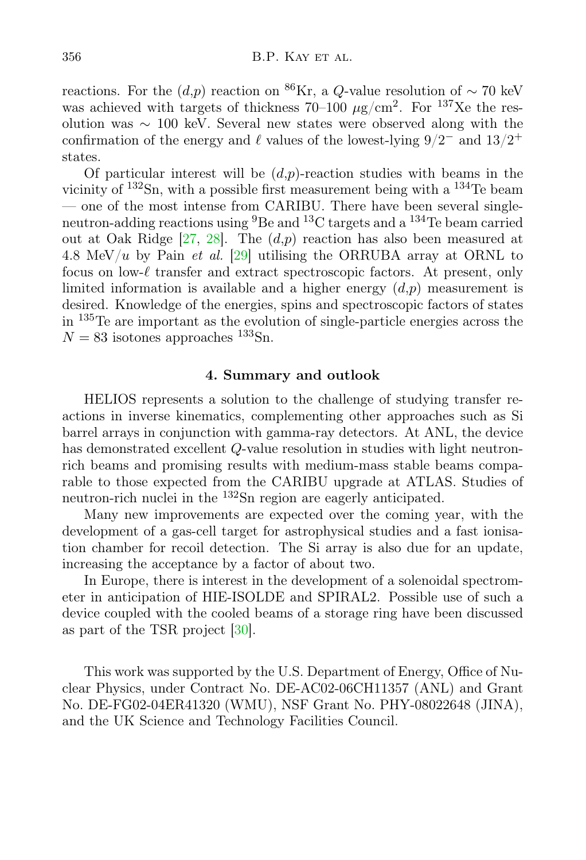reactions. For the  $(d,p)$  reaction on <sup>86</sup>Kr, a Q-value resolution of ~ 70 keV was achieved with targets of thickness  $70-100 \mu g/cm^2$ . For  $137$ Xe the resolution was ∼ 100 keV. Several new states were observed along with the confirmation of the energy and  $\ell$  values of the lowest-lying 9/2<sup>-</sup> and 13/2<sup>+</sup> states.

Of particular interest will be  $(d,p)$ -reaction studies with beams in the vicinity of  $132\text{Sn}$ , with a possible first measurement being with a  $134\text{Te}$  beam — one of the most intense from CARIBU. There have been several singleneutron-adding reactions using  ${}^{9}$ Be and  ${}^{13}$ C targets and a  ${}^{134}$ Te beam carried out at Oak Ridge [\[27,](#page-10-26) [28\]](#page-10-27). The  $(d,p)$  reaction has also been measured at 4.8 MeV/u by Pain et al. [\[29\]](#page-10-28) utilising the ORRUBA array at ORNL to focus on low- $\ell$  transfer and extract spectroscopic factors. At present, only limited information is available and a higher energy  $(d,p)$  measurement is desired. Knowledge of the energies, spins and spectroscopic factors of states in <sup>135</sup>Te are important as the evolution of single-particle energies across the  $N = 83$  isotones approaches <sup>133</sup>Sn.

## 4. Summary and outlook

HELIOS represents a solution to the challenge of studying transfer reactions in inverse kinematics, complementing other approaches such as Si barrel arrays in conjunction with gamma-ray detectors. At ANL, the device has demonstrated excellent Q-value resolution in studies with light neutronrich beams and promising results with medium-mass stable beams comparable to those expected from the CARIBU upgrade at ATLAS. Studies of neutron-rich nuclei in the <sup>132</sup>Sn region are eagerly anticipated.

Many new improvements are expected over the coming year, with the development of a gas-cell target for astrophysical studies and a fast ionisation chamber for recoil detection. The Si array is also due for an update, increasing the acceptance by a factor of about two.

In Europe, there is interest in the development of a solenoidal spectrometer in anticipation of HIE-ISOLDE and SPIRAL2. Possible use of such a device coupled with the cooled beams of a storage ring have been discussed as part of the TSR project [\[30\]](#page-10-29).

This work was supported by the U.S. Department of Energy, Office of Nuclear Physics, under Contract No. DE-AC02-06CH11357 (ANL) and Grant No. DE-FG02-04ER41320 (WMU), NSF Grant No. PHY-08022648 (JINA), and the UK Science and Technology Facilities Council.